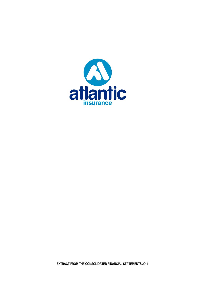

**EXTRACT FROM THE CONSOLIDATED FINANCIAL STATEMENTS 2014**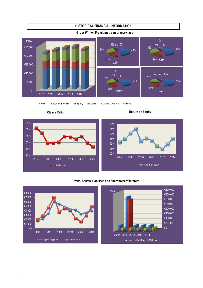

# **HISTORICAL FINANCIAL INFORMATION**

#### **Gross Written Premiums by Insurance class**

.

Motor Accident & Health Property Liability Marine & Aviation Others



53%

47%

5% 2%

4% 1% 1%

**2011**

0%



### **Profits, Assets, Liabilities and Shareholders' Interest**

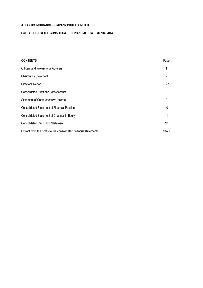.

# **EXTRACT FROM THE CONSOLIDATED FINANCIAL STATEMENTS 2014**

| <b>CONTENTS</b>                                                 | Page              |
|-----------------------------------------------------------------|-------------------|
| <b>Officers and Professional Advisers</b>                       |                   |
| Chairman's Statement                                            | 2                 |
| Directors' Report                                               | $3 - 7$           |
| <b>Consolidated Profit and Loss Account</b>                     | 8                 |
| Statement of Comprehensive Income                               | 9                 |
| <b>Consolidated Statement of Financial Position</b>             | 10                |
| Consolidated Statement of Changes in Equity                     | 11                |
| <b>Consolidated Cash Flow Statement</b>                         | $12 \overline{ }$ |
| Extract from the notes to the consolidated financial statements | 13-21             |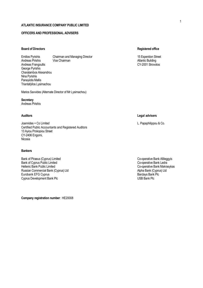# **OFFICERS AND PROFESSIONAL ADVISERS**

### **Board of Directors Registered office**

Emilios Pyrishis Chairman and Managing Director 15 Esperidon Street 15 Esperidon Street Andreas Pirishis Vice Chairman Atlantic Building Andreas Frangoullis George Pyrishis Charalambos Alexandrou Nina Pyrishis Panayiotis Mallis Triantafyllos Lysimachou

Marios Savvides (Alternate Director of Mr Lysimachou)

**Secretary** Andreas Pirishis

Joannides + Co Limited L. Papaphilippou & Co. Certified Public Accountants and Registered Auditors 13 Ayiou Prokopiou Street CY-2406 Engomi, Nicosia

#### **Bankers**

Bank of Piraeus (Cyprus) Limited Co-operative Bank Allileggyis<br>Bank of Cyprus Public Limited Co-operative Bank Ledra Bank of Cyprus Public Limited<br>Hellenic Bank Public Limited Russian Commercial Bank (Cyprus) Ltd<br>
Eurobank EFG Cyprus<br>
Barclays Bank Plc Eurobank EFG Cyprus **Bank Plc** Cyprus Bank Plc Cyprus Bank Plc Cyprus Bank Plc Cyprus Bank Plc Cyprus Bank Plc Cyprus Bank Plc Cyprus Bank Plc Cyprus Bank Plc Cyprus Bank Plc Cyprus Bank Plc Cyprus Bank Plc Cyprus Bank Plc Cyprus Development Bank Plc

**Company registration number**: ΗΕ20008

### **Auditors Legal advisers**

Co-operative Bank Makrasykas<br>Alpha Bank (Cyprus) Ltd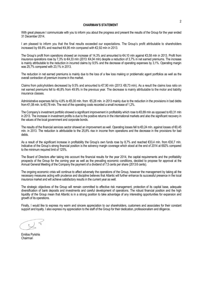### **CHAIRMAN'S STATEMENT**

With great pleasure I communicate with you to inform you about the progress and present the results of the Group for the year ended 31 December 2014.

I am pleased to inform you that the final results exceeded our expectations. The Group's profit attributable to shareholders increased by 69.8% and reached €4,95 mln compared with €2,92 mln in 2013.

The Group's profit from operations showed an increase of 14,3% and amounted to €4,10 mln against €3,58 mln in 2013. Profit from insurance operations rose by 7,3% to €4,33 mln (2013: €4,04 mln) despite a reduction of 3,7% in net earned premiums. The increase is mainly attributable to the reduction in incurred claims by 9,5% and the decrease of operating expenses by 3,1%. Operating margin was 25,7% compared with 23,1% in 2013.

The reduction in net earned premiums is mainly due to the loss of a few loss making or problematic agent portfolios as well as the overall contraction of premium income in the market.

Claims from policyholders decreased by 9.5% and amounted to €7,90 mln (2013: €8,73 mln). As a result the claims loss ratio on net earned premiums fell to 46,8% from 49.9% in the previous year. The decrease is mainly attributable to the motor and liability insurance classes.

Administrative expenses fell by 4,8% to €5,00 mln. from €5,26 mln. in 2013 mainly due to the reduction in the provisions in bad debts from €1,08 mln. to €0,78 mln. The rest of the operating costs recorded a small increase of 1,2%.

The Company's investment portfolio showed a significant improvement in profitability which rose to  $\epsilon$ 0,89 mln as opposed to  $\epsilon$ 0,31 mln in 2013. The increase in investment profits is due to the positive returns in the international markets and also the significant recovery in the values of the local government and corporate bonds.

The results of the financial services sector showed an improvement as well. Operating losses fell to €0,24 mln. against losses of €0,45 mln. in 2013. The reduction is attributable to the 25,8% rise in income from operations and the decrease in the provisions for bad debts.

As a result of the significant increase in profitability the Group's own funds rose by 8,7% and reached €33,4 mln. from €30,7 mln. Indicative of the Group's strong financial position is the solvency margin coverage which stood at the end of 2014 at 692% compared to the minimum required limit of 125%.

The Board of Directors after taking into account the financial results for the year 2014, the capital requirements and the profitability prospects of the Group for the coming year as well as the prevailing economic conditions, decided to propose for approval at the Annual General Meeting of the Company the payment of a dividend of 7,5 cents per share (2013:6 cents).

The ongoing economic crisis will continue to affect adversely the operations of the Group, however the management by taking all the necessary measures acting with prudence and discipline believes that Atlantic will further enhance its successful presence in the local insurance market and will achieve satisfactory results in the current year as well.

The strategic objectives of the Group will remain committed to effective risk management, protection of its capital base, adequate diversification of bank deposits and investments and careful development of operations. The robust financial position and the high liquidity of the Group mean that Atlantic is in a strong position to take advantage of any interesting opportunities for expansion and growth of its operations.

Finally, I would like to express my warm and sincere appreciation to our shareholders, customers and associates for their constant support and loyalty. I also express my appreciation to the staff of the Group for their dedication, professionalism and diligence.

Emilios Pyrishis Chairman<sup>®</sup>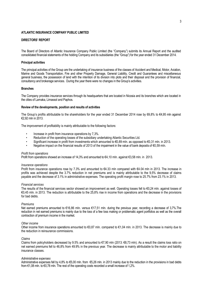### **DIRECTORS' REPORT**

The Board of Directors of Atlantic Insurance Company Public Limited (the "Company") submits its Annual Report and the audited consolidated financial statements of the holding Company and its subsidiaries (the "Group") for the year ended 31 December 2014.

#### **Principal activities**

The principal activities of the Group are the undertaking of insurance business of the classes of Accident and Medical, Motor, Aviation, Marine and Goods Transportation, Fire and other Property Damage, General Liability, Credit and Guarantees and miscellaneous general business, the possession of land with the intention of its division into plots and their disposal and the provision of financial, consultancy and brokerage services. During the year there were no changes in the Group's activities.

#### **Branches**

The Company provides insurance services through its headquarters that are located in Nicosia and its branches which are located in the cities of Larnaka, Limassol and Paphos.

#### **Review of the developments, position and results of activities**

The Group's profits attributable to the shareholders for the year ended 31 December 2014 rose by 69,8% to €4,95 mln against €2,92 mln in 2013.

The improvement of profitability is mainly attributable to the following factors:

- Increase in profit from insurance operations by 7,3%.
- Reduction of the operating losses of the subsidiary undertaking Atlantic Securities Ltd.
- Significant increase in profit from investments which amounted to €0,89 mln. as opposed to €0,31 mln. in 2013.
- Negative impact on the financial results of 2013 of the impairment in the value of bank deposits of €0,59 mln.

#### *Profit from operations*

Profit from operations showed an increase of 14,3% and amounted to €4,10 mln. against €3,58 mln. in 2013.

#### *Insurance operations*

Profit from insurance operations rose by 7.3% and amounted to €4.33 mln compared with €4.04 mln in 2013. The increase in profits was achieved despite the 3.7% reduction in net premiums and is mainly attributable to the 9,5% decrease of claims payable and the decrease of 3.1% in administrative expenses. The operating profit margin rose to 25.7% from 23.1% in 2013.

#### *Financial services*

The results of the financial services sector showed an improvement as well. Operating losses fell to €0,24 mln. against losses of €0,45 mln. in 2013. The reduction is attributable to the 25,8% rise in income from operations and the decrease in the provisions for bad debts.

#### *Premiums*

Net earned premiums amounted to €16,86 mln. versus €17,51 mln. during the previous year, recording a decrease of 3,7%.The reduction in net earned premiums is mainly due to the loss of a few loss making or problematic agent portfolios as well as the overall contraction of premium income in the market.

#### *Other income*

Other income from insurance operations amounted to  $\epsilon 0.87$  mln. compared to  $\epsilon 1.04$  mln. in 2013. The decrease is mainly due to the reduction in reinsurance commissions.

#### *Claims*

Claims from policyholders decreased by 9.5% and amounted to €7,90 mln (2013: €8,73 mln). As a result the claims loss ratio on net earned premiums fell to 46,8% from 49.9% in the previous year. The decrease is mainly attributable to the motor and liability insurance classes.

#### *Administrative expenses*

Administrative expenses fell by 4,8% to €5,00 mln. from €5,26 mln. in 2013 mainly due to the reduction in the provisions in bad debts from €1,08 mln. to €0,78 mln. The rest of the operating costs recorded a small increase of 1,2%.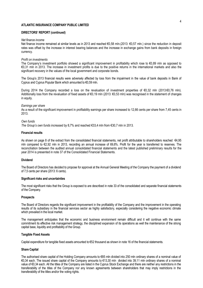### **DIRECTORS' REPORT (continued)**

#### *Net finance income*

Net finance income remained at similar levels as in 2013 and reached €0,58 mln.(2013: €0,57 mln.) since the reduction in deposit rates was offset by the increase in interest bearing balances and the increase in exchange gains from bank deposits in foreign currency.

#### *Profit on investments*

The Company's investment portfolio showed a significant improvement in profitability which rose to  $\epsilon$ 0,89 mln as opposed to €0,31 mln in 2013. The increase in investment profits is due to the positive returns in the international markets and also the significant recovery in the values of the local government and corporate bonds.

The Group's 2013 financial results were adversely affected by loss from the impairment in the value of bank deposits in Bank of Cyprus and Cyprus Popular Bank which amounted to €0,59 mln.

During 2014 the Company recorded a loss on the revaluation of investment properties of €0,32 mln (2013:€0,76 mln). Additionally loss from the revaluation of fixed assets of €0,19 mln (2013: €0,53 mln) was recognised in the statement of changes in equity.

#### *Earnings per share*

As a result of the significant improvement in profitability earnings per share increased to 12,66 cents per share from 7,45 cents in 2013.

### *Own funds*

*The Group's own funds increased by* 8,7% and reached €33,4 mln from €30,7 mln in 2013.

### **Financial results**

As shown on page 8 of the extract from the consolidated financial statements, net profit attributable to shareholders reached €4,95 mln compared to €2,92 mln in 2013, recording an annual increase of 69,8%. Profit for the year is transferred to reserves. The reconciliation between the audited annual consolidated financial statements and the latest published preliminary results for the year 2014 is presented in note 37 of the Consolidated Financial Statements.

#### **Dividend**

The Board of Directors has decided to propose for approval at the Annual General Meeting of the Company the payment of a dividend of 7,5 cents per share (2013: 6 cents).

#### **Significant risks and uncertainties**

The most significant risks that the Group is exposed to are described in note 33 of the consolidated and separate financial statements of the Company.

### **Prospects**

The Board of Directors regards the significant improvement in the profitability of the Company and the improvement in the operating results of its subsidiary in the financial services sector as highly satisfactory, especially considering the negative economic climate which prevailed in the local market.

The management anticipates that the economic and business environment remain difficult and it will continue with the same commitment its effective risk management strategy, the disciplined expansion of its operations as well the maintenance of the strong capital base, liquidity and profitability of the Group.

#### **Tangible Fixed Assets**

Capital expenditure for tangible fixed assets amounted to €52 thousand as shown in note 16 of the financial statements.

#### **Share Capital**

The authorised share capital of the Holding Company amounts to €85 mln divided into 250 mln ordinary shares of a nominal value of €0,34 each. The issued share capital of the Company amounts to €13,30 mln divided into 39,11 mln ordinary shares of a nominal value of €0,34 each. All the titles of the Company are listed in the Cyprus Stock Exchange and there are neither any restrictions in the transferability of the titles of the Company nor any known agreements between shareholders that may imply restrictions in the transferability of the titles and/or the voting rights.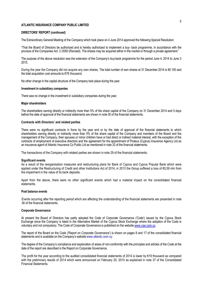#### **DIRECTORS' REPORT (continued)**

The Extraordinary General Meeting of the Company which took place on 4 June 2014 approved the following Special Resolution:

"That the Board of Directors be authorized and is hereby authorized to implement a buy- back programme, in accordance with the provisos of the Companies Act 2 /2000 (Revised). The shares may be acquired either in the market or through a private agreement.''

The purpose of the above resolution was the extension of the Company's buy-back programme for the period June 4, 2014 to June 3 2015.

During the year the Company did not acquire any own shares. The total number of own shares at 31 December 2014 is 80 150 and the total acquisition cost amounts to €78 thousand.

No other change in the capital structure of the Company took place during the year.

#### **Investment in subsidiary companies**

There was no change in the investment in subsidiary companies during the year.

#### **Major shareholders**

The shareholders owning directly or indirectly more than 5% of the share capital of the Company on 31 December 2014 and 5 days before the date of approval of the financial statements are shown in note 30 of the financial statements.

#### **Contracts with Directors' and related parties**

There were no significant contracts in force by the year end or by the date of approval of the financial statements to which shareholders owning directly or indirectly more than 5% of the share capital of the Company and members of the Board and the management of the Company, their spouses or minor children have or had direct or indirect material interest, with the exception of the contracts of employment of executive directors and the agreement for the appointment of Piraeus (Cyprus) Insurance Agency Ltd as an insurance agent of Atlantic Insurance Co Public Ltd as mentioned in note 32 of the financial statements.

The transactions of the Company with related parties are shown in note 29 of the financial statements.

#### **Significant events**

As a result of the reorganisation measures and restructuring plans for Bank of Cyprus and Cyprus Popular Bank which were applied under the Restructuring of Credit and other Institutions Act of 2014, in 2013 the Group suffered a loss of €0,59 mln from the impairment in the value of its bank deposits.

Apart from the above, there were no other significant events which had a material impact on the consolidated financial statements.

#### **Post balance events**

Events occurring after the reporting period which are affecting the understanding of the financial statements are presented in note 36 of the financial statements.

#### **Corporate Governance**

At present the Board of Directors has partly adopted the Code of Corporate Governance ('Code') issued by the Cyprus Stock Exchange since the Company is listed in the Alternative Market of the Cyprus Stock Exchange where the adoption of the Code is voluntary and not compulsory. The Code of Corporate Governance is published on the website www.cse.com.cy.

The report of the Board on the Code ('Report on Corporate Governance') is shown on pages 8 and 17 of the consolidated financial statements and is available on the Company's website www.atlantic.com.cy.

The degree of the Company's compliance and explanation of areas of non-conformity with the principles and articles of the Code at the date of the report are described in the Report on Corporate Governance.

The profit for the year according to the audited consolidated financial statements of 2014 is lower by €19 thousand as compared with the preliminary results of 2014 which were announced on February 20, 2015 as explained in note 37 of the Consolidated Financial Statements.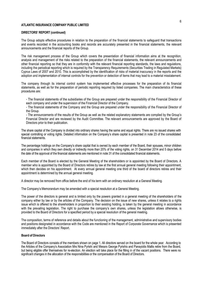### **DIRECTORS' REPORT (continued)**

The Group adopts effective procedures in relation to the preparation of the financial statements to safeguard that transactions and events recorded in the accounting books and records are accurately presented in the financial statements, the relevant announcements and the financial reports of the Group.

The risk management process of the Group which covers the presentation of financial information aims at the recognition, analysis and management of the risks related to the preparation of the financial statements, the relevant announcements and other financial reporting so that they are in conformity with the relevant financial reporting standards, the laws and regulations, including the periodical reporting which is required by the Transparency Requirements (Securities Trading in Regulated Markets) Cyprus Laws of 2007 and 2010. This is accomplished by the identification of risks of material inaccuracy in the reports and the adoption and implementation of internal controls for the prevention or detection of items that may lead to a material misstatement.

The company through its internal control system has implemented effective processes for the preparation of its financial statements, as well as for the preparation of periodic reporting required by listed companies. The main characteristics of these procedures are:

- The financial statements of the subsidiaries of the Group are prepared under the responsibility of the Financial Director of each company and under the supervision of the Financial Director of the Company.

- The financial statements of the Company and the Group are prepared under the responsibility of the Financial Director of the Group.

- The announcements of the results of the Group as well as the related explanatory statements are compiled by the Group's Financial Director and are reviewed by the Audit Committee. The relevant announcements are approved by the Board of Directors prior to their publication.

The share capital of the Company is divided into ordinary shares having the same and equal rights. There are no issued shares with special controlling or voting rights. Detailed information on the Company's share capital is presented in note 23 of the consolidated financial statements.

The percentage holdings on the Company's share capital that is owned by each member of the Board, their spouses, minor children and companies in which they own directly or indirectly more than 20% of the voting rights, on 31 December 2014 and 5 days before the date of the approval of the financial statements are mentioned in note 31 of the consolidated financial statements.

Each member of the Board is elected by the General Meeting of the shareholders or is appointed by the Board of Directors. A member who is appointed by the Board of Directors retires by law at the first annual general meeting following their appointment, which then decides on his appointment. At every annual general meeting one third of the board of directors retires and their appointment is determined by the annual general meeting.

A director may be removed from office before the end of his term with an ordinary resolution at a General Meeting.

The Company's Memorandum may be amended with a special resolution at a General Meeting.

The power of the directors is general and is limited only by the powers granted in a general meeting of the shareholders of the company either by law or by the articles of the Company. The decision on the issue of new shares, unless it relates to a rights issue which is offered to the shareholders in proportion to their existing holding, is taken by the general meeting in accordance with the prevailing legislation. The right to purchase the company's own shares, unless the legislation allows otherwise, is provided to the Board of Directors for a specified period by a special resolution of the general meeting.

The composition, terms of reference and details about the functioning of the management, administrative and supervisory bodies and positions designated in accordance with the Code are mentioned in the Report of Corporate Governance which is presented immediately after the Directors' Report.

#### **Board of Directors**

The Board of Directors consists of the members shown on page 1. All directors served on the board for the whole year. According to the Articles of the Company's Association Mrs Nina Pyrishi and Messrs George Pyrishis and Panayiotis Mallis retire from the Board, but being eligible offer themselves for re-election. An election will take place for the filling in of the vacant positions. There were no significant changes in the allocation of the responsibilities or the compensation of the Board of Directors.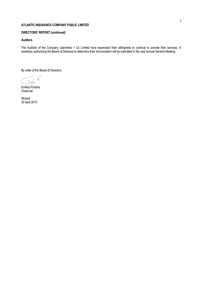# **DIRECTORS' REPORT (continued)**

### **Auditors**

The Auditors of the Company Joannides + Co Limited have expressed their willingness to continue to provide their services. A resolution authorizing the Board of Directors to determine their remuneration will be submitted in the next Annual General Meeting.

By order of the Board of Directors,

Emilios Pyrishis Chairman

Nicosia 30 April 2015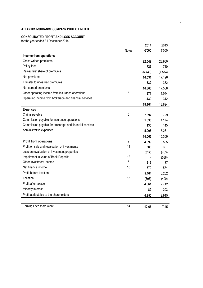# **CONSOLIDATED PROFIT AND LOSS ACCOUNT**

for the year ended 31 December 2014

|                                                         |              | 2014    | 2013    |
|---------------------------------------------------------|--------------|---------|---------|
|                                                         | <b>Notes</b> | €'000   | €'000   |
| Income from operations                                  |              |         |         |
| Gross written premiums                                  |              | 22.549  | 23.960  |
| Policy fees                                             |              | 725     | 740     |
| Reinsurers' share of premiums                           |              | (6.743) | (7.574) |
| Net premiums                                            |              | 16.531  | 17.126  |
| Transfer to unearned premiums                           |              | 332     | 382     |
| Net earned premiums                                     |              | 16.863  | 17.508  |
| Other operating income from insurance operations        | 6            | 871     | 1.044   |
| Operating income from brokerage and financial services  |              | 430     | 342     |
|                                                         |              | 18.164  | 18.894  |
| <b>Expenses</b>                                         |              |         |         |
| Claims payable                                          | 5            | 7.897   | 8.729   |
| Commission payable for insurance operations             |              | 1.030   | 1.174   |
| Commission payable for brokerage and financial services |              | 130     | 145     |
| Administrative expenses                                 |              | 5.008   | 5.261   |
|                                                         |              | 14.065  | 15.309  |
| <b>Profit from operations</b>                           | 9            | 4.099   | 3.585   |
| Profit on sale and revaluation of investments           | 11           | 888     | 307     |
| Loss on revaluation of investment properties            |              | (317)   | (763)   |
| Impairment in value of Bank Deposits                    | 12           |         | (588)   |
| Other investment income                                 | 6            | 215     | 87      |
| Net finance income                                      | 10           | 579     | 574     |
| Profit before taxation                                  |              | 5.464   | 3.202   |
| Taxation                                                | 13           | (603)   | (490)   |
| Profit after taxation                                   |              | 4.861   | 2.712   |
| Minority interest                                       |              | 89      | 203     |
| Profit attributable to the shareholders                 |              | 4.950   | 2.915   |
|                                                         |              |         |         |
| Earnings per share (cent)                               | 14           | 12,66   | 7,45    |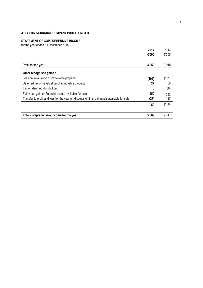# **STATEMENT OF COMPREHENSIVE INCOME**

for the year ended 31 December 2014

|                                                                                             | 2014  | 2013  |
|---------------------------------------------------------------------------------------------|-------|-------|
|                                                                                             | €'000 | €'000 |
|                                                                                             |       |       |
| Profit for the year                                                                         | 4.950 | 2.915 |
| Other recognised gains :                                                                    |       |       |
| Loss on revaluation of immovable property                                                   | (191) | (531) |
| Deferred tax on revaluation of immovable property                                           | 27    | 50    |
| Tax on deemed distribution                                                                  |       | (36)  |
| Fair value gain on financial assets available for sale                                      | 250   | 222   |
| Transfer to profit and loss for the year on disposal of financial assets available for sale | (27)  | 127   |
|                                                                                             | 59    | (168) |
|                                                                                             |       |       |
| Total comprehensive income for the year                                                     | 5.009 | 2.747 |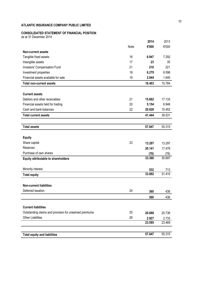### **CONSOLIDATED STATEMENT OF FINANCIAL POSITION**

as at 31 December 2014

|                                                        |      | 2014   | 2013          |
|--------------------------------------------------------|------|--------|---------------|
|                                                        | Note | €'000  | €'000         |
| <b>Non-current assets</b>                              |      |        |               |
| Tangible fixed assets                                  | 16   | 6.947  | 7.292         |
| Intangible assets                                      | 17   | 23     | 35            |
| Investors' Compensation Fund                           | 21   | 210    | 221           |
| Investment properties                                  | 18   | 6.279  | 6.596         |
| Financial assets available for sale                    | 19   | 2.944  | 1.640         |
| <b>Total non-current assets</b>                        |      | 16.403 | 15.784        |
|                                                        |      |        |               |
| <b>Current assets</b>                                  |      |        |               |
| Debtors and other receivables                          | 21   | 15.662 | 17.133        |
| Financial assets held for trading                      | 20   | 5.154  | 6.946         |
| Cash and bank balances                                 | 22   | 20.628 | 15.452        |
| <b>Total current assets</b>                            |      | 41.444 | 39.531        |
|                                                        |      |        |               |
| <b>Total assets</b>                                    |      | 57.847 | 55.315        |
|                                                        |      |        |               |
| <b>Equity</b>                                          |      |        |               |
| Share capital                                          | 23   | 13.297 | 13.297        |
| Reserves                                               |      | 20.141 | 17.478        |
| Purchase of own shares                                 |      | (78)   | (78)          |
| <b>Equity attributable to shareholders</b>             |      | 33.360 | 30.697        |
| Minority interest                                      |      | 532    |               |
| <b>Total equity</b>                                    |      | 33.892 | 713<br>31.410 |
|                                                        |      |        |               |
| <b>Non-current liabilities</b>                         |      |        |               |
| Deferred taxation                                      | 24   | 360    | 436           |
|                                                        |      | 360    | 436           |
|                                                        |      |        |               |
| <b>Current liabilities</b>                             |      |        |               |
| Outstanding claims and provision for unearned premiums | 25   | 20.668 | 20.736        |
| <b>Other Liabilities</b>                               | 26   | 2.927  | 2.733         |
|                                                        |      | 23.595 | 23.469        |
|                                                        |      |        |               |
| <b>Total equity and liabilities</b>                    |      | 57.847 | 55.315        |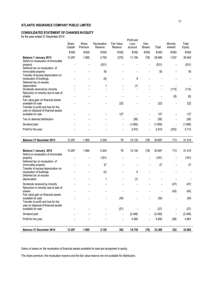# **CONSOLIDATED STATEMENT OF CHANGES IN EQUITY**

for the year ended 31 December 2014

| ior the year chaca of December 2014                                                               | Share<br>Capital | Share<br>Premium | Revaluation<br>Reserve | Fair Value<br>Reserve    | Profit and<br>Loss<br>account | Own<br><b>Shares</b> | Total   | Minority<br>Interest | Total<br>Equity |
|---------------------------------------------------------------------------------------------------|------------------|------------------|------------------------|--------------------------|-------------------------------|----------------------|---------|----------------------|-----------------|
|                                                                                                   | €'000            | €'000            | €'000                  | €'000                    | €'000                         | €'000                | €'000   | €'000                | €'000           |
| <b>Balance 1 January 2013</b>                                                                     | 13.297           | 1.965            | 3.793                  | (270)                    | 11.199                        | (78)                 | 29.906  | 1.037                | 30.942          |
| Deficit on revaluation of immovable<br>property<br>Deferred tax on revaluation of                 |                  |                  | (531)                  |                          |                               |                      | (531)   | -                    | (531)           |
| immovable property                                                                                |                  |                  | 50                     |                          |                               |                      | 50      |                      | 50              |
| Transfer of excess depreciation on<br>revaluation of buildings<br>Deferred tax on excess          |                  |                  | (9)                    |                          | 9                             |                      |         |                      |                 |
| depreciation<br>Dividends received by minority                                                    |                  |                  | 1                      |                          | (1)                           |                      |         | (113)                | (113)           |
| Reduction in minority due to sale of<br>shares<br>Fair value gain on financial assets             |                  |                  |                        |                          |                               |                      |         | (8)                  | (8)             |
| available for sale<br>Transfer to profit and loss for the<br>year on disposal of financial assets |                  |                  |                        | 222                      |                               |                      | 222     |                      | 222             |
| available for sale                                                                                |                  |                  |                        | 127                      |                               |                      | 127     | $\overline{a}$       | 127             |
| Tax on deemed distribution                                                                        |                  |                  |                        |                          | (36)                          |                      | (36)    | -                    | (36)            |
| Dividend paid                                                                                     |                  |                  |                        | $\overline{\phantom{a}}$ | (1.956)                       |                      | (1.956) |                      | (1.956)         |
| Profit for the year                                                                               |                  |                  |                        |                          | 2.915                         |                      | 2.915   | (203)                | 2.712           |
| Balance 31 December 2013                                                                          | 13.297           | 1.965            | 3.304                  | 79                       | 12.130                        | (78)                 | 30.697  | 713                  | 31.410          |
| Balance 1 January 2014<br>Deficit on revaluation of immovable                                     | 13.297           | 1.965            | 3.304                  | 79                       | 12.130                        | (78)                 | 30.697  | 713                  | 31.410          |
| property<br>$\mathbf{r}$ and $\mathbf{r}$                                                         |                  |                  | (191)                  |                          |                               |                      | (191)   | -                    | (191)           |

| Balance 1 January 2014                                         | 13.297 | 1.965 | 3.304 | 79             | 12.130  | (78)                     | 30.697  | 713  | 31.410  |
|----------------------------------------------------------------|--------|-------|-------|----------------|---------|--------------------------|---------|------|---------|
| Deficit on revaluation of immovable                            |        |       |       |                |         |                          |         |      |         |
| property                                                       |        |       | (191) |                |         | -                        | (191)   |      | (191)   |
| Deferred tax on revaluation of                                 |        |       |       |                |         |                          |         |      |         |
| immovable property                                             |        |       | 27    |                |         |                          | 27      |      | 27      |
| Transfer of excess depreciation on<br>revaluation of buildings |        |       | (5)   |                | 5       |                          |         |      |         |
| Deferred tax on excess                                         |        |       |       |                |         |                          |         |      |         |
| depreciation                                                   |        |       |       | $\overline{a}$ | (1)     |                          |         |      |         |
|                                                                |        |       |       |                |         |                          |         |      |         |
| Dividends received by minority                                 |        |       |       |                |         |                          |         | (47) | (47)    |
| Reduction in minority due to sale of<br>shares                 |        |       |       |                |         |                          |         |      |         |
| Fair value gain on financial assets                            |        |       |       |                |         |                          |         | (45) | (45)    |
| available for sale                                             |        |       |       | 250            |         |                          | 250     |      | 250     |
| Transfer to profit and loss for the                            |        |       |       |                |         |                          |         |      |         |
| year on disposal of financial assets                           |        |       |       |                |         |                          |         |      |         |
| available for sale                                             |        |       |       | (27)           |         | $\overline{\phantom{a}}$ | (27)    |      | (27)    |
| Dividend paid                                                  |        |       |       |                | (2.346) |                          | (2.346) |      | (2.346) |
|                                                                |        |       |       |                |         |                          |         |      |         |
| Profit for the year                                            |        |       |       |                | 4.950   |                          | 4.950   | (89) | 4.861   |
|                                                                |        |       |       |                |         |                          |         |      |         |
| Balance 31 December 2014                                       | 13.297 | 1.965 | 3.136 | 302            | 14.738  | (78)                     | 33.360  | 532  | 33.892  |

Gains or losses on the revaluation of financial assets available for sale are recognised in equity.

The share premium, the revaluation reserve and the fair value reserve are not available for distribution.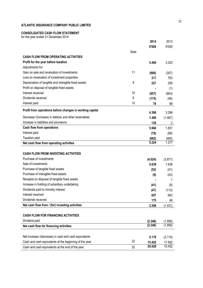# **CONSOLIDATED CASH FLOW STATEMENT**

for the year ended 31 December 2014

|                                                          |      | 2014    | 2013    |
|----------------------------------------------------------|------|---------|---------|
|                                                          |      | €'000   | €'000   |
|                                                          | Note |         |         |
| <b>CASH FLOW FROM OPERATING ACTIVITIES</b>               |      |         |         |
| Profit for the year before taxation                      |      | 5.464   | 3.203   |
| Adjustments for:                                         |      |         |         |
| Gain on sale and revaluation of investments              | 11   | (888)   | (307)   |
| Loss on revaluation of investment properties             |      | 317     | 763     |
| Depreciation of tangible and intangible fixed assets     | 9    | 227     | 258     |
| Profit on disposal of tangible fixed assets              |      |         | (1)     |
| Interest received                                        | 10   | (657)   | (663)   |
| Dividends received                                       | 6    | (175)   | (46)    |
| Interest paid                                            | 10   | 78      | 89      |
| Profit from operations before changes in working capital |      | 4.366   | 3.296   |
| Decrease /(increase) in debtors and other receivables    |      | 1.480   | (1.467) |
| Increase in liabilities and provisions                   |      | 138     | 2       |
| <b>Cash flow from operations</b>                         |      | 5.984   | 1.831   |
| Interest paid                                            |      | (78)    | (89)    |
| <b>Taxation paid</b>                                     |      | (682)   | (465)   |
| Net cash flow from operating activities                  |      | 5.224   | 1.277   |
|                                                          |      |         |         |
| <b>CASH FLOW FROM INVESTING ACTIVITIES</b>               |      |         |         |
| Purchase of investments                                  |      | (4.024) | (3.871) |
| Sale of investments                                      |      | 5.639   | 1.936   |
| Purchase of tangible fixed assets                        |      | (52)    | (41)    |
| Purchase of intangible fixed assets                      |      | (9)     | (43)    |
| Receipts on disposal of tangible fixed assets            |      |         | 1       |
| Increase in holding of subsidiary undertaking            |      | (41)    | (9)     |
| Dividends paid to minority interest                      |      | (47)    | (113)   |
| Interest received                                        |      | 657     | 663     |
| Dividends received                                       |      | 175     | 46      |
| Net cash flow from / (for) investing activities          |      | 2.298   | (1.431) |
|                                                          |      |         |         |
| <b>CASH FLOW FOR FINANCING ACTIVITIES</b>                |      |         |         |
| Dividend paid                                            |      | (2.346) | (1.956) |
| Net cash flow for financing activities                   |      | (2.346) | (1.956) |
|                                                          |      |         |         |
| Net increase /(decrease) in cash and cash equivalents    |      | 5.176   | (2.110) |
| Cash and cash equivalents at the beginning of the year   | 22   | 15.452  | 17.562  |
| Cash and cash equivalents at the end of the year         | 22   | 20.628  | 15.452  |
|                                                          |      |         |         |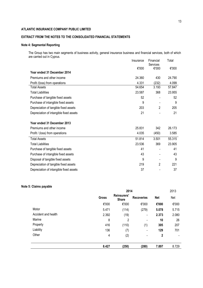# **EXTRACT FROM THE NOTES TO THE CONSOLIDATED FINANCIAL STATEMENTS**

### **Note 4: Segmental Reporting**

The Group has two main segments of business activity, general insurance business and financial services, both of which are carried out in Cyprus.

|                                         | Insurance | Financial         | Total  |
|-----------------------------------------|-----------|-------------------|--------|
|                                         | €'000     | Services<br>€'000 | €'000  |
| Year ended 31 December 2014             |           |                   |        |
| Premiums and other income               | 24.360    | 430               | 24.790 |
| Profit /(loss) from operations          | 4.331     | (232)             | 4.099  |
| <b>Total Assets</b>                     | 54.654    | 3.193             | 57.847 |
| <b>Total Liabilities</b>                | 23.587    | 368               | 23.955 |
| Purchase of tangible fixed assets       | 52        |                   | 52     |
| Purchase of intangible fixed assets     | 9         |                   | 9      |
| Depreciation of tangible fixed assets   | 203       | 2                 | 205    |
| Depreciation of intangible fixed assets | 21        |                   | 21     |
|                                         |           |                   |        |
| Year ended 31 December 2013             |           |                   |        |
| Premiums and other income               | 25.831    | 342               | 26.173 |
| Profit / (loss) from operations         | 4.035     | (450)             | 3.585  |
| <b>Total Assets</b>                     | 51.814    | 3.501             | 55.315 |
| <b>Total Liabilities</b>                | 23.536    | 369               | 23.905 |
| Purchase of tangible fixed assets       | 41        |                   | 41     |
| Purchase of intangible fixed assets     | 43        |                   | 43     |
| Disposal of tangible fixed assets       | 9         |                   | 9      |
| Depreciation of tangible fixed assets   | 219       | 2                 | 221    |
| Depreciation of intangible fixed assets | 37        |                   | 37     |

# **Note 5: Claims payable**

|                     | 2014         |                             |                          |            | 2013  |
|---------------------|--------------|-----------------------------|--------------------------|------------|-------|
|                     | <b>Gross</b> | Reinsurers'<br><b>Share</b> | <b>Recoveries</b>        | <b>Net</b> | Net   |
|                     | €'000        | €'000                       | €'000                    | €'000      | €'000 |
| Motor               | 5.471        | (114)                       | (279)                    | 5.078      | 5.715 |
| Accident and health | 2.392        | (19)                        | -                        | 2.373      | 2.080 |
| Marine              | 8            | 2                           |                          | 10         | 26    |
| Property            | 416          | (110)                       | (1)                      | 305        | 207   |
| Liability           | 136          | (7)                         | $\overline{\phantom{0}}$ | 129        | 701   |
| Other               | 4            | (2)                         | $\blacksquare$           | 2          |       |
|                     | 8.427        | (250)                       | (280)                    | 7.897      | 8.729 |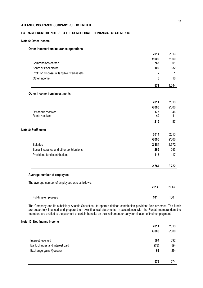# **EXTRACT FROM THE NOTES TO THE CONSOLIDATED FINANCIAL STATEMENTS**

### **Note 6: Other Income**

### **Other income from insurance operations**

|                                                 | 2014  | 2013  |
|-------------------------------------------------|-------|-------|
|                                                 | €'000 | €'000 |
| Commissions earned                              | 763   | 901   |
| Share of Pool profits                           | 102   | 132   |
| Profit on disposal of tangible fixed assets     |       | 1     |
| Other income                                    | 6     | 10    |
|                                                 | 871   | 1.044 |
| Other income from investments                   |       |       |
|                                                 | 2014  | 2013  |
|                                                 | €'000 | €'000 |
| Dividends received                              | 175   | 46    |
| Rents received                                  | 40    | 41    |
|                                                 | 215   | 87    |
| Note 8: Staff costs                             |       |       |
|                                                 | 2014  | 2013  |
|                                                 | €'000 | €'000 |
| Salaries                                        | 2.384 | 2.372 |
| Social insurance and other contributions        | 265   | 243   |
| Provident fund contributions                    | 115   | 117   |
|                                                 | 2.764 | 2.732 |
| Average number of employees                     |       |       |
|                                                 |       |       |
| The average number of employees was as follows: | 2014  | 2013  |
|                                                 |       |       |
| Full-time employees                             | 101   | 100   |

The Company and its subsidiary Atlantic Securities Ltd operate defined contribution provident fund schemes. The funds are separately financed and prepare their own financial statements. In accordance with the Funds' memorandum the members are entitled to the payment of certain benefits on their retirement or early termination of their employment.

### **Note 10: Net finance income**

|                                | 2014  | 2013  |
|--------------------------------|-------|-------|
|                                | €'000 | €'000 |
| Interest received              | 594   | 692   |
| Bank charges and interest paid | (78)  | (89)  |
| Exchange gains /(losses)       | 63    | (29)  |
|                                | 579   | 574   |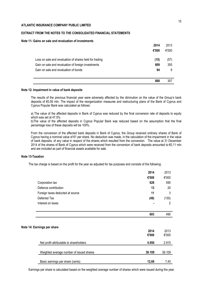### **EXTRACT FROM THE NOTES TO THE CONSOLIDATED FINANCIAL STATEMENTS**

### **Note 11- Gains on sale and revaluation of investments**

|                                                         | 2014  | 2013  |
|---------------------------------------------------------|-------|-------|
|                                                         | €'000 | €'000 |
| Loss on sale and revaluation of shares held for trading | (15)  | (57)  |
| Gain on sale and revaluation of foreign investments     | 809   | 355   |
| Gain on sale and revaluation of bonds                   | 94    | 9     |
|                                                         | 888   | 307   |

### **Note 12- Impairment in value of bank deposits**

The results of the previous financial year were adversely affected by the diminution on the value of the Group's bank deposits of €0,59 mln. The impact of the reorganization measures and restructuring plans of the Bank of Cyprus and Cyprus Popular Bank was calculated as follows:

a) The value of the affected deposits in Bank of Cyprus was reduced by the final conversion rate of deposits to equity which was set at 47,5%.

b)The value of the affected deposits in Cyprus Popular Bank was reduced based on the assumption that the final percentage loss of these deposits will be 100%.

From the conversion of the affected bank deposits in Bank of Cyprus, the Group received ordinary shares of Bank of Cyprus having a nominal value of €1 per share. No deduction was made, in the calculation of the impairment in the value of bank deposits, of any value in respect of the shares which resulted from the conversion. The value at 31 December 2014 of the shares of Bank of Cyprus which were received from the conversion of bank deposits amounted to €0,11 mln and are included as part of financial assets available for sale.

### **Note 13-Taxation**

The tax charge is based on the profit for the year as adjusted for tax purposes and consists of the following:

|                                          | 2014   | 2013   |
|------------------------------------------|--------|--------|
|                                          | €'000  | €'000  |
| Corporation tax                          | 628    | 595    |
| Defence contribution                     | 13     | 20     |
| Foreign taxes deducted at source         | 11     | 3      |
| Deferred Tax                             | (49)   | (130)  |
| Interest on taxes                        |        | 2      |
|                                          |        |        |
|                                          | 603    | 490    |
|                                          |        |        |
| Note 14: Earnings per share              |        |        |
|                                          | 2014   | 2013   |
|                                          | €'000  | €'000  |
| Net profit attributable to shareholders  | 4.950  | 2.915  |
| Weighted average number of issued shares | 39.109 | 39.109 |
|                                          |        |        |
| Basic earnings per share (cents)         | 12,66  | 7,45   |

Earnings per share is calculated based on the weighted average number of shares which were issued during the year.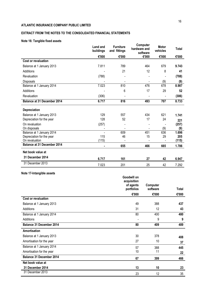# **EXTRACT FROM THE NOTES TO THE CONSOLIDATED FINANCIAL STATEMENTS**

# **Note 16: Tangible fixed assets**

|                                    | Land and<br>buildings | <b>Furniture</b><br>and fittings | Computer<br>hardware and<br>software | <b>Motor</b><br>vehicles | <b>Total</b> |
|------------------------------------|-----------------------|----------------------------------|--------------------------------------|--------------------------|--------------|
|                                    | €'000                 | €'000                            | €'000                                | €'000                    | €'000        |
| <b>Cost or revaluation</b>         |                       |                                  |                                      |                          |              |
| Balance at 1 January 2013          | 7.811                 | 789                              | 464                                  | 679                      | 9.743        |
| Additions                          |                       | 21                               | 12                                   | 8                        | 41           |
| Revaluation                        | (788)                 |                                  |                                      |                          | (788)        |
| Disposals                          |                       |                                  |                                      | (9)                      | (9)          |
| Balance at 1 January 2014          | 7.023                 | 810                              | 476                                  | 678                      | 8.987        |
| Additions                          |                       | 6                                | 17                                   | 29                       | 52           |
| Revaluation                        | (306)                 |                                  |                                      |                          | (306)        |
| <b>Balance at 31 December 2014</b> | 6.717                 | 816                              | 493                                  | 707                      | 8.733        |
| Depreciation                       |                       |                                  |                                      |                          |              |
| Balance at 1 January 2013          | 129                   | 557                              | 434                                  | 621                      | 1.741        |
| Depreciation for the year          | 128                   | 52                               | 17                                   | 24                       | 221          |
| On revaluation                     | (257)                 |                                  |                                      |                          | (257)        |
| On disposals                       |                       |                                  |                                      | (9)                      | (9)          |
| Balance at 1 January 2014          |                       | 609                              | 451                                  | 636                      | 1.696        |
| Depreciation for the year          | 115                   | 46                               | 15                                   | 29                       | 205          |
| On revaluation                     | (115)                 |                                  |                                      |                          | (115)        |
| <b>Balance at 31 December 2014</b> | $\blacksquare$        | 655                              | 466                                  | 665                      | 1.786        |
| Net book value at                  |                       |                                  |                                      |                          |              |
| 31 December 2014                   | 6.717                 | 161                              | 27                                   | 42                       | 6.947        |
| 31 December 2013                   | 7.023                 | 201                              | 25                                   | 42                       | 7.292        |

# **Note 17-Intangible assets**

| . <u>.</u>                      | Goodwill on<br>acquisition<br>of agents | Computer |       |
|---------------------------------|-----------------------------------------|----------|-------|
|                                 | portfolios                              | software | Total |
|                                 | €'000                                   | €'000    | €'000 |
| <b>Cost or revaluation</b>      |                                         |          |       |
| Balance at 1 January 2013       | 49                                      | 388      | 437   |
| Additions                       | 31                                      | 12       | 43    |
| Balance at 1 January 2014       | 80                                      | 400      | 480   |
| Additions                       |                                         | 9        | 9     |
| Balance 31 December 2014        | 80                                      | 409      | 489   |
| Amortisation                    |                                         |          |       |
| Balance at 1 January 2013       | 30                                      | 378      | 408   |
| Amortisation for the year       | 27                                      | 10       | 37    |
| Balance at 1 January 2014       | 57                                      | 388      | 445   |
| Amortisation for the year       | 10                                      | 11       | 22    |
| <b>Balance 31 December 2014</b> | 67                                      | 399      | 466   |
| Net book value at               |                                         |          |       |
| 31 December 2014                | 13                                      | 10       | 23    |
| 31 December 2013                | 23                                      | 12       | 35    |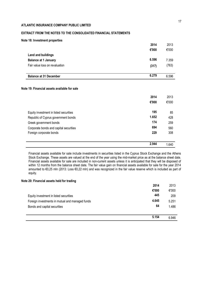# **EXTRACT FROM THE NOTES TO THE CONSOLIDATED FINANCIAL STATEMENTS**

|                                              | 2.944 | 1.640 |
|----------------------------------------------|-------|-------|
| Foreign corporate bonds                      | 229   | 308   |
| Corporate bonds and capital securities       | 694   | 560   |
| Greek government bonds                       | 174   | 259   |
| Republic of Cyprus government bonds          | 1.652 | 428   |
| Equity investment in listed securities       | 195   | 85    |
|                                              | €'000 | €'000 |
|                                              | 2014  | 2013  |
| Note 19: Financial assets available for sale |       |       |
| <b>Balance at 31 December</b>                | 6.279 | 6.596 |
| Fair value loss on revaluation               | (317) | (763) |
| <b>Balance at 1 January</b>                  | 6.596 | 7.359 |
| <b>Land and buildings</b>                    |       |       |
|                                              | €'000 | €'000 |
| Note 18: Investment properties               | 2014  | 2013  |

Financial assets available for sale include investments in securities listed in the Cyprus Stock Exchange and the Athens Stock Exchange. These assets are valued at the end of the year using the mid-market price as at the balance sheet date. Financial assets available for sale are included in non-current assets unless it is anticipated that they will be disposed of within 12 months from the balance sheet date. The fair value gain on financial assets available for sale for the year 2014 amounted to €0,25 mln (2013: Loss €0,22 mln) and was recognized in the fair value reserve which is included as part of equity.

### **Note 20: Financial assets held for trading**

|                                                 | 5.154 | 6.946 |
|-------------------------------------------------|-------|-------|
| Bonds and capital securities                    | 64    | 1.486 |
| Foreign investments in mutual and managed funds | 4.645 | 5.251 |
| Equity investment in listed securities          | 445   | 209   |
|                                                 | €'000 | €'000 |
|                                                 | 2014  | 2013  |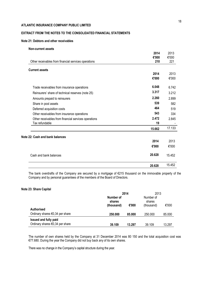# **EXTRACT FROM THE NOTES TO THE CONSOLIDATED FINANCIAL STATEMENTS**

### **Note 21: Debtors and other receivables**

| <b>Non-current assets</b>                            |              |              |
|------------------------------------------------------|--------------|--------------|
|                                                      | 2014         | 2013         |
|                                                      | €'000<br>210 | €'000<br>221 |
| Other receivables from financial services operations |              |              |
| <b>Current assets</b>                                |              |              |
|                                                      | 2014         | 2013         |
|                                                      | €'000        | €'000        |
| Trade receivables from insurance operations          | 6.048        | 6.742        |
| Reinsurers' share of technical reserves (note 25)    | 3.317        | 3.212        |
| Amounts prepaid to reinsurers                        | 2.260        | 2.899        |
| Share in pool assets                                 | 539          | 582          |
| Deferred acquisition costs                           | 464          | 519          |
| Other receivables from insurance operations          | 543          | 334          |
| Other receivables from financial services operations | 2.472        | 2.845        |
| Tax refundable                                       | 19           |              |
|                                                      | 15.662       | 17.133       |
| Note 22: Cash and bank balances                      |              |              |
|                                                      | 2014         | 2013         |
|                                                      | €'000        | €'000        |
| Cash and bank balances                               | 20.628       | 15.452       |
|                                                      | 20.628       | 15.452       |

The bank overdrafts of the Company are secured by a mortgage of €215 thousand on the immovable property of the Company and by personal guarantees of the members of the Board of Directors.

### **Note 23: Share Capital**

|                                           | 2014<br>Number of |        | shares     |        | 2013<br>Number of<br>shares |  |
|-------------------------------------------|-------------------|--------|------------|--------|-----------------------------|--|
|                                           | (thousand)        | €'000  | (thousand) | €'000  |                             |  |
| <b>Authorised</b>                         |                   |        |            |        |                             |  |
| Ordinary shares $\epsilon$ 0,34 per share | 250.000           | 85.000 | 250.000    | 85.000 |                             |  |
| <b>Issued and fully paid</b>              |                   |        |            |        |                             |  |
| Ordinary shares $\epsilon$ 0,34 per share | 39.109            | 13.297 | 39.109     | 13.297 |                             |  |

The number of own shares held by the Company at 31 December 2014 was 80 150 and the total acquisition cost was €77.680. During the year the Company did not buy back any of its own shares.

There was no change in the Company's capital structure during the year.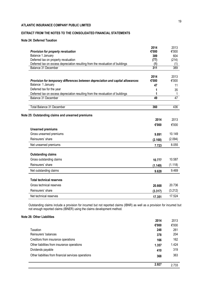# **EXTRACT FROM THE NOTES TO THE CONSOLIDATED FINANCIAL STATEMENTS**

# **Note 24: Deferred Taxation**

| Provision for property revaluation                                              | 2014<br>€'000    | 2013<br>€'000 |
|---------------------------------------------------------------------------------|------------------|---------------|
| Balance 1 January                                                               | 389              | 604           |
| Deferred tax on property revaluation                                            | (77)             | (214)         |
| Deferred tax on excess depreciation resulting from the revaluation of buildings | (1)              | (1)           |
| Balance 31 December                                                             | $\overline{311}$ | 389           |
|                                                                                 | 2014             | 2013          |
| Provision for temporary differences between depreciation and capital allowances | €'000            | €'000         |
| Balance 1 January                                                               | 47               | 11            |
| Deferred tax for the year                                                       |                  | 35            |
| Deferred tax on excess depreciation resulting from the revaluation of buildings |                  | 1             |
| Balance 31 December                                                             | 49               | 47            |
| <b>Total Balance 31 December</b>                                                | 360              | 436           |
| Note 25: Outstanding claims and unearned premiums                               |                  |               |
|                                                                                 | 2014             | 2013          |
|                                                                                 | €'000            | €'000         |
| <b>Unearned premiums</b>                                                        |                  |               |
| Gross unearned premiums                                                         | 9.891            | 10.149        |
| Reinsurers' share                                                               | (2.168)          | (2.094)       |
| Net unearned premiums                                                           | 7.723            | 8.055         |
| <b>Outstanding claims</b>                                                       |                  |               |
| Gross outstanding claims                                                        | 10.777           | 10.587        |
| Reinsurers' share                                                               | (1.149)          | (1.118)       |
| Net outstanding claims                                                          | 9.628            | 9.469         |
| <b>Total technical reserves</b>                                                 |                  |               |
| Gross technical reserves                                                        | 20.668           | 20.736        |
| Reinsurers' share                                                               | (3.317)          | (3.212)       |
| Net technical reserves                                                          | 17.351           | 17.524        |

Outstanding claims include a provision for incurred but not reported claims (IBNR) as well as a provision for incurred but not enough reported claims (IBNER) using the claims development method.

## **Note 26: Other Liabilities**

|                                                      | 2014  | 2013  |
|------------------------------------------------------|-------|-------|
|                                                      | €'000 | €'000 |
| Taxation                                             | 248   | 261   |
| Reinsurers' balances                                 | 378   | 204   |
| Creditors from insurance operations                  | 166   | 162   |
| Other liabilities from insurance operations          | 1.357 | 1.424 |
| Dividends payable                                    | 410   | 319   |
| Other liabilities from financial services operations | 368   | 363   |
|                                                      | 2.927 | 2.733 |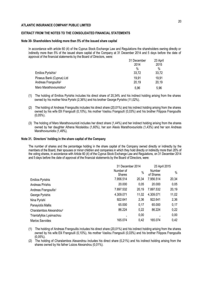### **EXTRACT FROM THE NOTES TO THE CONSOLIDATED FINANCIAL STATEMENTS**

#### **Note 30- Shareholders holding more than 5% of the issued share capital**

In accordance with article 60 (4) of the Cyprus Stock Exchange Law and Regulations the shareholders owning directly or indirectly more than 5% of the issued share capital of the Company at 31 December 2014 and 5 days before the date of approval of the financial statements by the Board of Directors, were:

|                                    | 31 December<br>2014 | 23 April<br>2015 |
|------------------------------------|---------------------|------------------|
|                                    | $\%$                | $\%$             |
| Emilios Pyrisihis <sup>1</sup>     | 33,72               | 33,72            |
| Piraeus Bank (Cyprus) Ltd          | 19.91               | 19.91            |
| Andreas Frangoullis <sup>2</sup>   | 20,19               | 20,19            |
| Maro Marathovouniotou <sup>3</sup> | 5,96                | 5.96             |

- (1) The holding of Emilios Pyrishis includes his direct share of 20,34% and his indirect holding arising from the shares owned by his mother Nina Pyrishi (2,36%) and his brother George Pyrishis (11,02%).
- (2) The holding of Andreas Frangoullis includes his direct share (20,01%) and his indirect holding arising from the shares owned by his wife Elli Frangoulli (0,10%), his mother Vasilou Frangoulli (0,03%) and his brother Filippos Frangoullis (0,05%).
- (3) The holding of Maro Marathovounioti includes her direct share (1,44%) and her indirect holding arising from the shares owned by her daughter Athena Nicolaidou (1,60%), her son Alexis Marathovouniotis (1,43%) and her son Andreas Marathovouniotis (1.49%).

#### **Note 31. Directors' holding in the share capital of the Company**

The number of shares and the percentage holding in the share capital of the Company owned directly or indirectly by the members of the Board, their spouses or minor children and companies in which they hold directly or indirectly more than 20% of the voting shares, in accordance with Article 60 (4) of the Cyprus Stock Exchange Law and Regulations, on 31 December 2014 and 5 days before the date of approval of the financial statements by the Board of Directors, were:

|                                     | 31 December 2014           |               | 23 April 2015       |       |
|-------------------------------------|----------------------------|---------------|---------------------|-------|
|                                     | Number of<br><b>Shares</b> | $\frac{0}{0}$ | Number<br>of Shares | $\%$  |
| <b>Emilios Pyrishis</b>             | 7.956.514                  | 20,34         | 7.956.514           | 20,34 |
| Andreas Pirishis                    | 20.000                     | 0.05          | 20.000              | 0,05  |
| Andreas Frangoullis <sup>1</sup>    | 7.897.532                  | 20,19         | 7.897.532           | 20,19 |
| George Pyrishis                     | 4.309.071                  | 11,02         | 4.309.071           | 11,02 |
| Nina Pyrishi                        | 922.641                    | 2,36          | 922.641             | 2,36  |
| Panayiotis Mallis                   | 65.000                     | 0,17          | 65.000              | 0,17  |
| Charalambos Alexandrou <sup>2</sup> | 86.224                     | 0,22          | 86.224              | 0,22  |
| Triantafyllos Lysimachou            |                            | 0,00          |                     | 0,00  |
| Marios Savvides                     | 165.074                    | 0,42          | 165.074             | 0,42  |

(1) The holding of Andreas Frangoullis includes his direct share (20,01%) and his indirect holding arising from the shares owned by his wife Elli Frangoulli (0,10%), his mother Vasilou Frangoulli (0,03%) and his brother Filippos Frangoullis (0,05%).

(2) The holding of Charalambos Alexandrou includes his direct share (0,21%) and his indirect holding arising from the shares owned by his father Loizos Alexandrou (0,01%).